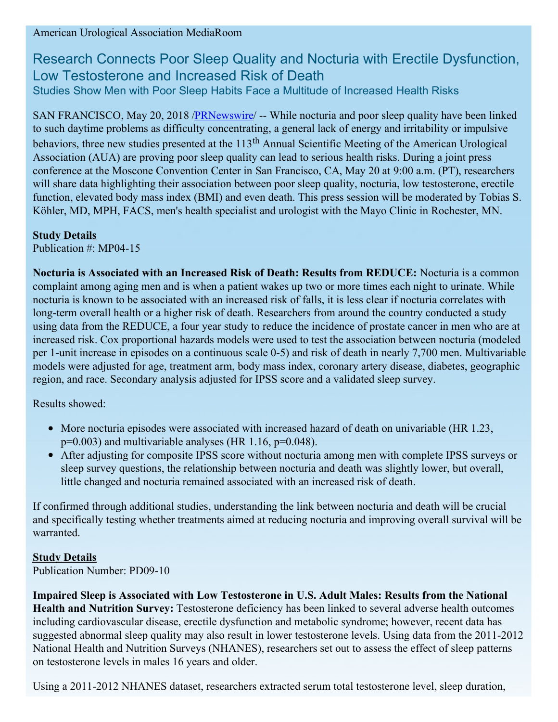## Research Connects Poor Sleep Quality and Nocturia with Erectile Dysfunction, Low Testosterone and Increased Risk of Death Studies Show Men with Poor Sleep Habits Face a Multitude of Increased Health Risks

SAN FRANCISCO, May 20, 2018 /**PRNewswire/ --** While nocturia and poor sleep quality have been linked to such daytime problems as difficulty concentrating, a general lack of energy and irritability or impulsive behaviors, three new studies presented at the 113<sup>th</sup> Annual Scientific Meeting of the American Urological Association (AUA) are proving poor sleep quality can lead to serious health risks. During a joint press conference at the Moscone Convention Center in San Francisco, CA, May 20 at 9:00 a.m. (PT), researchers will share data highlighting their association between poor sleep quality, nocturia, low testosterone, erectile function, elevated body mass index (BMI) and even death. This press session will be moderated by Tobias S. Köhler, MD, MPH, FACS, men's health specialist and urologist with the Mayo Clinic in Rochester, MN.

## **Study Details**

Publication #: MP04-15

**Nocturia is Associated with an Increased Risk of Death: Results from REDUCE:** Nocturia is a common complaint among aging men and is when a patient wakes up two or more times each night to urinate. While nocturia is known to be associated with an increased risk of falls, it is less clear if nocturia correlates with long-term overall health or a higher risk of death. Researchers from around the country conducted a study using data from the REDUCE, a four year study to reduce the incidence of prostate cancer in men who are at increased risk. Cox proportional hazards models were used to test the association between nocturia (modeled per 1-unit increase in episodes on a continuous scale 0-5) and risk of death in nearly 7,700 men. Multivariable models were adjusted for age, treatment arm, body mass index, coronary artery disease, diabetes, geographic region, and race. Secondary analysis adjusted for IPSS score and a validated sleep survey.

Results showed:

- More nocturia episodes were associated with increased hazard of death on univariable (HR 1.23,  $p=0.003$ ) and multivariable analyses (HR 1.16,  $p=0.048$ ).
- After adjusting for composite IPSS score without nocturia among men with complete IPSS surveys or sleep survey questions, the relationship between nocturia and death was slightly lower, but overall, little changed and nocturia remained associated with an increased risk of death.

If confirmed through additional studies, understanding the link between nocturia and death will be crucial and specifically testing whether treatments aimed at reducing nocturia and improving overall survival will be warranted.

## **Study Details** Publication Number: PD09-10

**Impaired Sleep is Associated with Low Testosterone in U.S. Adult Males: Results from the National Health and Nutrition Survey:** Testosterone deficiency has been linked to several adverse health outcomes including cardiovascular disease, erectile dysfunction and metabolic syndrome; however, recent data has suggested abnormal sleep quality may also result in lower testosterone levels. Using data from the 2011-2012 National Health and Nutrition Surveys (NHANES), researchers set out to assess the effect of sleep patterns on testosterone levels in males 16 years and older.

Using a 2011-2012 NHANES dataset, researchers extracted serum total testosterone level, sleep duration,